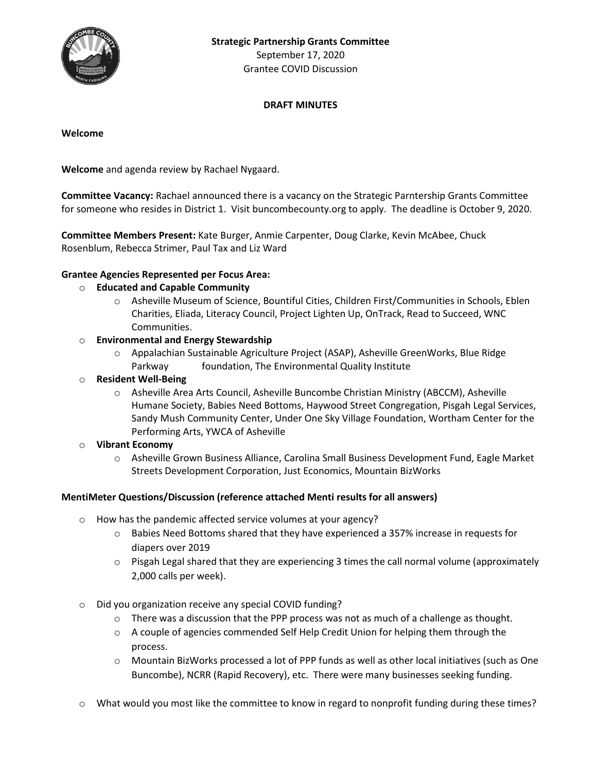

September 17, 2020 Grantee COVID Discussion

# **DRAFT MINUTES**

#### **Welcome**

**Welcome** and agenda review by Rachael Nygaard.

**Committee Vacancy:** Rachael announced there is a vacancy on the Strategic Parntership Grants Committee for someone who resides in District 1. Visit buncombecounty.org to apply. The deadline is October 9, 2020.

**Committee Members Present:** Kate Burger, Anmie Carpenter, Doug Clarke, Kevin McAbee, Chuck Rosenblum, Rebecca Strimer, Paul Tax and Liz Ward

### **Grantee Agencies Represented per Focus Area:**

## o **Educated and Capable Community**

- o Asheville Museum of Science, Bountiful Cities, Children First/Communities in Schools, Eblen Charities, Eliada, Literacy Council, Project Lighten Up, OnTrack, Read to Succeed, WNC Communities.
- o **Environmental and Energy Stewardship**
	- o Appalachian Sustainable Agriculture Project (ASAP), Asheville GreenWorks, Blue Ridge Parkway foundation, The Environmental Quality Institute
- o **Resident Well-Being**
	- o Asheville Area Arts Council, Asheville Buncombe Christian Ministry (ABCCM), Asheville Humane Society, Babies Need Bottoms, Haywood Street Congregation, Pisgah Legal Services, Sandy Mush Community Center, Under One Sky Village Foundation, Wortham Center for the Performing Arts, YWCA of Asheville
- o **Vibrant Economy**
	- o Asheville Grown Business Alliance, Carolina Small Business Development Fund, Eagle Market Streets Development Corporation, Just Economics, Mountain BizWorks

### **MentiMeter Questions/Discussion (reference attached Menti results for all answers)**

- o How has the pandemic affected service volumes at your agency?
	- $\circ$  Babies Need Bottoms shared that they have experienced a 357% increase in requests for diapers over 2019
	- $\circ$  Pisgah Legal shared that they are experiencing 3 times the call normal volume (approximately 2,000 calls per week).
- o Did you organization receive any special COVID funding?
	- $\circ$  There was a discussion that the PPP process was not as much of a challenge as thought.
	- $\circ$  A couple of agencies commended Self Help Credit Union for helping them through the process.
	- o Mountain BizWorks processed a lot of PPP funds as well as other local initiatives (such as One Buncombe), NCRR (Rapid Recovery), etc. There were many businesses seeking funding.
- o What would you most like the committee to know in regard to nonprofit funding during these times?